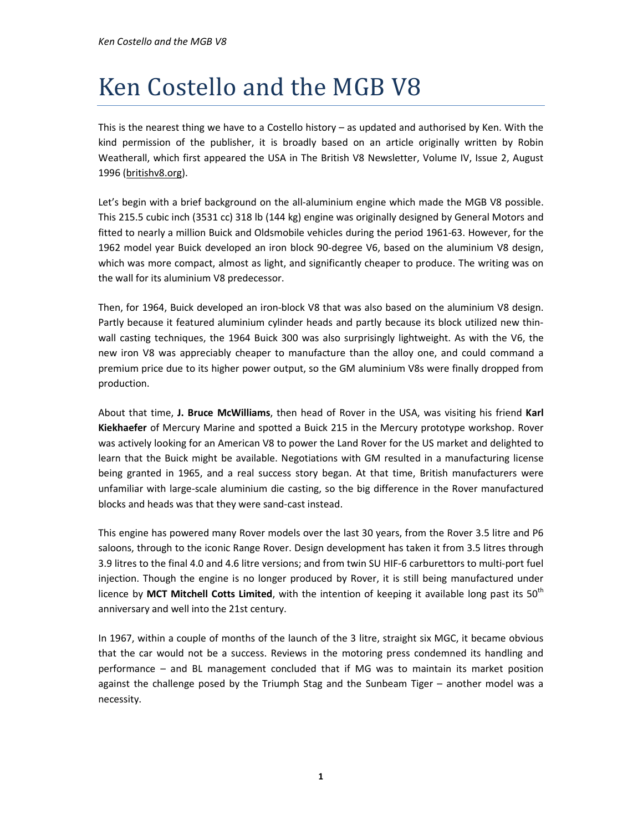This is the nearest thing we have to a Costello history – as updated and authorised by Ken. With the kind permission of the publisher, it is broadly based on an article originally written by Robin Weatherall, which first appeared the USA in The British V8 Newsletter, Volume IV, Issue 2, August 1996 (britishv8.org).

Let's begin with a brief background on the all-aluminium engine which made the MGB V8 possible. This 215.5 cubic inch (3531 cc) 318 lb (144 kg) engine was originally designed by General Motors and fitted to nearly a million Buick and Oldsmobile vehicles during the period 1961-63. However, for the 1962 model year Buick developed an iron block 90-degree V6, based on the aluminium V8 design, which was more compact, almost as light, and significantly cheaper to produce. The writing was on the wall for its aluminium V8 predecessor.

Then, for 1964, Buick developed an iron-block V8 that was also based on the aluminium V8 design. Partly because it featured aluminium cylinder heads and partly because its block utilized new thinwall casting techniques, the 1964 Buick 300 was also surprisingly lightweight. As with the V6, the new iron V8 was appreciably cheaper to manufacture than the alloy one, and could command a premium price due to its higher power output, so the GM aluminium V8s were finally dropped from production.

About that time, J. Bruce McWilliams, then head of Rover in the USA, was visiting his friend Karl Kiekhaefer of Mercury Marine and spotted a Buick 215 in the Mercury prototype workshop. Rover was actively looking for an American V8 to power the Land Rover for the US market and delighted to learn that the Buick might be available. Negotiations with GM resulted in a manufacturing license being granted in 1965, and a real success story began. At that time, British manufacturers were unfamiliar with large-scale aluminium die casting, so the big difference in the Rover manufactured blocks and heads was that they were sand-cast instead.

This engine has powered many Rover models over the last 30 years, from the Rover 3.5 litre and P6 saloons, through to the iconic Range Rover. Design development has taken it from 3.5 litres through 3.9 litres to the final 4.0 and 4.6 litre versions; and from twin SU HIF-6 carburettors to multi-port fuel injection. Though the engine is no longer produced by Rover, it is still being manufactured under licence by MCT Mitchell Cotts Limited, with the intention of keeping it available long past its  $50<sup>th</sup>$ anniversary and well into the 21st century.

In 1967, within a couple of months of the launch of the 3 litre, straight six MGC, it became obvious that the car would not be a success. Reviews in the motoring press condemned its handling and performance – and BL management concluded that if MG was to maintain its market position against the challenge posed by the Triumph Stag and the Sunbeam Tiger – another model was a necessity.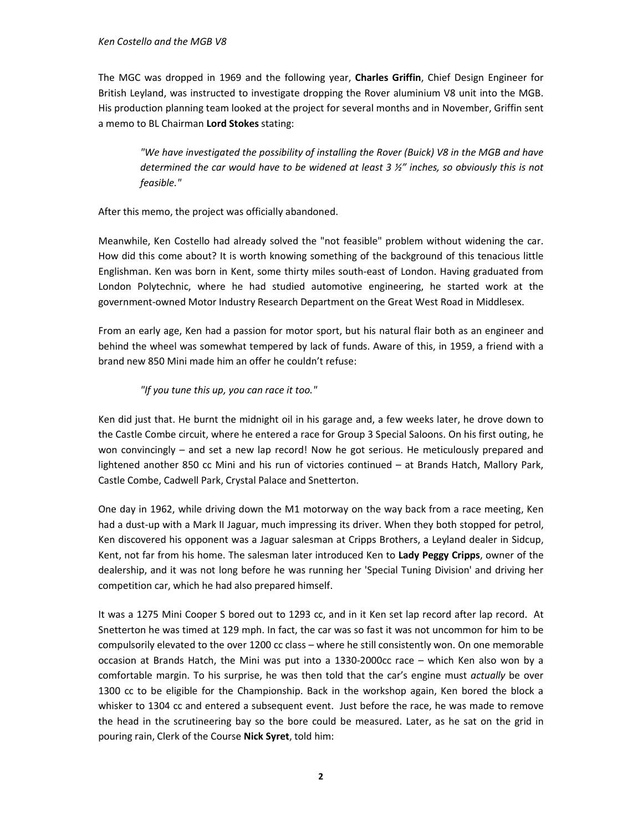The MGC was dropped in 1969 and the following year, Charles Griffin, Chief Design Engineer for British Leyland, was instructed to investigate dropping the Rover aluminium V8 unit into the MGB. His production planning team looked at the project for several months and in November, Griffin sent a memo to BL Chairman Lord Stokes stating:

"We have investigated the possibility of installing the Rover (Buick) V8 in the MGB and have determined the car would have to be widened at least  $3 \frac{1}{2}$ " inches, so obviously this is not feasible."

After this memo, the project was officially abandoned.

Meanwhile, Ken Costello had already solved the "not feasible" problem without widening the car. How did this come about? It is worth knowing something of the background of this tenacious little Englishman. Ken was born in Kent, some thirty miles south-east of London. Having graduated from London Polytechnic, where he had studied automotive engineering, he started work at the government-owned Motor Industry Research Department on the Great West Road in Middlesex.

From an early age, Ken had a passion for motor sport, but his natural flair both as an engineer and behind the wheel was somewhat tempered by lack of funds. Aware of this, in 1959, a friend with a brand new 850 Mini made him an offer he couldn't refuse:

## "If you tune this up, you can race it too."

Ken did just that. He burnt the midnight oil in his garage and, a few weeks later, he drove down to the Castle Combe circuit, where he entered a race for Group 3 Special Saloons. On his first outing, he won convincingly – and set a new lap record! Now he got serious. He meticulously prepared and lightened another 850 cc Mini and his run of victories continued – at Brands Hatch, Mallory Park, Castle Combe, Cadwell Park, Crystal Palace and Snetterton.

One day in 1962, while driving down the M1 motorway on the way back from a race meeting, Ken had a dust-up with a Mark II Jaguar, much impressing its driver. When they both stopped for petrol, Ken discovered his opponent was a Jaguar salesman at Cripps Brothers, a Leyland dealer in Sidcup, Kent, not far from his home. The salesman later introduced Ken to Lady Peggy Cripps, owner of the dealership, and it was not long before he was running her 'Special Tuning Division' and driving her competition car, which he had also prepared himself.

It was a 1275 Mini Cooper S bored out to 1293 cc, and in it Ken set lap record after lap record. At Snetterton he was timed at 129 mph. In fact, the car was so fast it was not uncommon for him to be compulsorily elevated to the over 1200 cc class – where he still consistently won. On one memorable occasion at Brands Hatch, the Mini was put into a 1330-2000cc race – which Ken also won by a comfortable margin. To his surprise, he was then told that the car's engine must actually be over 1300 cc to be eligible for the Championship. Back in the workshop again, Ken bored the block a whisker to 1304 cc and entered a subsequent event. Just before the race, he was made to remove the head in the scrutineering bay so the bore could be measured. Later, as he sat on the grid in pouring rain, Clerk of the Course Nick Syret, told him: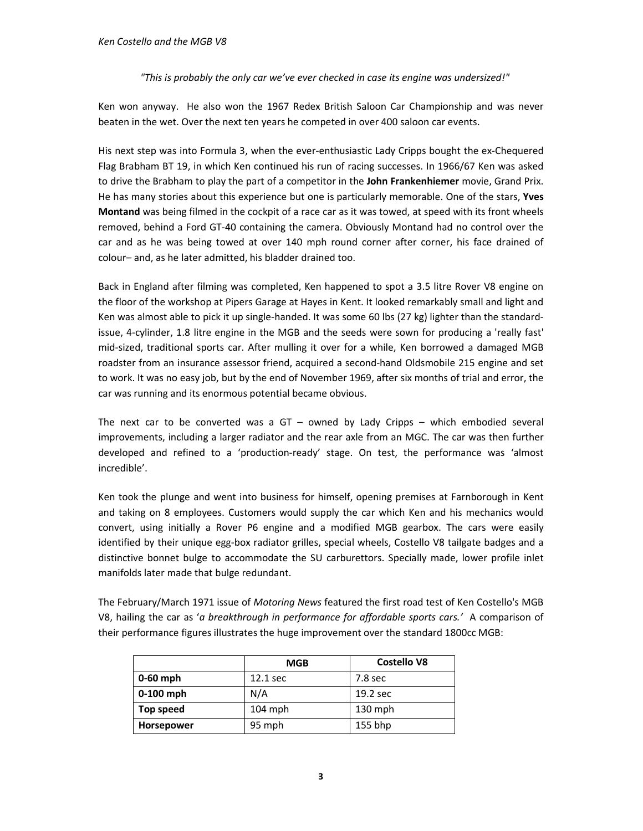## "This is probably the only car we've ever checked in case its engine was undersized!"

Ken won anyway. He also won the 1967 Redex British Saloon Car Championship and was never beaten in the wet. Over the next ten years he competed in over 400 saloon car events.

His next step was into Formula 3, when the ever-enthusiastic Lady Cripps bought the ex-Chequered Flag Brabham BT 19, in which Ken continued his run of racing successes. In 1966/67 Ken was asked to drive the Brabham to play the part of a competitor in the John Frankenhiemer movie, Grand Prix. He has many stories about this experience but one is particularly memorable. One of the stars, Yves Montand was being filmed in the cockpit of a race car as it was towed, at speed with its front wheels removed, behind a Ford GT-40 containing the camera. Obviously Montand had no control over the car and as he was being towed at over 140 mph round corner after corner, his face drained of colour– and, as he later admitted, his bladder drained too.

Back in England after filming was completed, Ken happened to spot a 3.5 litre Rover V8 engine on the floor of the workshop at Pipers Garage at Hayes in Kent. It looked remarkably small and light and Ken was almost able to pick it up single-handed. It was some 60 lbs (27 kg) lighter than the standardissue, 4-cylinder, 1.8 litre engine in the MGB and the seeds were sown for producing a 'really fast' mid-sized, traditional sports car. After mulling it over for a while, Ken borrowed a damaged MGB roadster from an insurance assessor friend, acquired a second-hand Oldsmobile 215 engine and set to work. It was no easy job, but by the end of November 1969, after six months of trial and error, the car was running and its enormous potential became obvious.

The next car to be converted was a  $GT -$  owned by Lady Cripps  $-$  which embodied several improvements, including a larger radiator and the rear axle from an MGC. The car was then further developed and refined to a 'production-ready' stage. On test, the performance was 'almost incredible'.

Ken took the plunge and went into business for himself, opening premises at Farnborough in Kent and taking on 8 employees. Customers would supply the car which Ken and his mechanics would convert, using initially a Rover P6 engine and a modified MGB gearbox. The cars were easily identified by their unique egg-box radiator grilles, special wheels, Costello V8 tailgate badges and a distinctive bonnet bulge to accommodate the SU carburettors. Specially made, lower profile inlet manifolds later made that bulge redundant.

The February/March 1971 issue of Motoring News featured the first road test of Ken Costello's MGB V8, hailing the car as 'a breakthrough in performance for affordable sports cars.' A comparison of their performance figures illustrates the huge improvement over the standard 1800cc MGB:

|                   | <b>MGB</b> | <b>Costello V8</b> |
|-------------------|------------|--------------------|
| $0-60$ mph        | 12.1 sec   | 7.8 sec            |
| $0-100$ mph       | N/A        | 19.2 sec           |
| Top speed         | $104$ mph  | $130$ mph          |
| <b>Horsepower</b> | 95 mph     | 155 bhp            |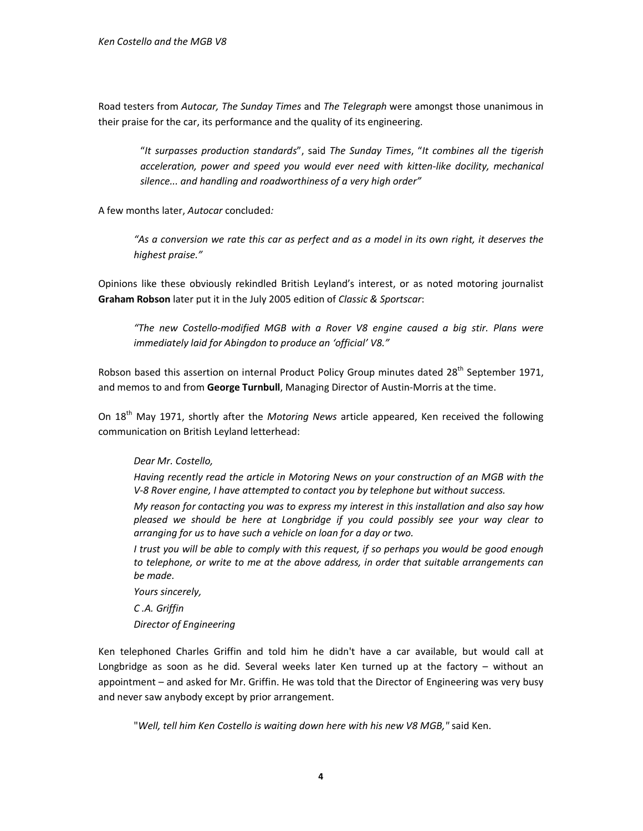Road testers from Autocar, The Sunday Times and The Telegraph were amongst those unanimous in their praise for the car, its performance and the quality of its engineering.

"It surpasses production standards", said The Sunday Times, "It combines all the tigerish acceleration, power and speed you would ever need with kitten-like docility, mechanical silence... and handling and roadworthiness of a very high order"

A few months later, Autocar concluded:

"As a conversion we rate this car as perfect and as a model in its own right, it deserves the highest praise."

Opinions like these obviously rekindled British Leyland's interest, or as noted motoring journalist Graham Robson later put it in the July 2005 edition of Classic & Sportscar:

"The new Costello-modified MGB with a Rover V8 engine caused a big stir. Plans were immediately laid for Abingdon to produce an 'official' V8."

Robson based this assertion on internal Product Policy Group minutes dated 28<sup>th</sup> September 1971, and memos to and from George Turnbull, Managing Director of Austin-Morris at the time.

On 18<sup>th</sup> May 1971, shortly after the Motoring News article appeared, Ken received the following communication on British Leyland letterhead:

## Dear Mr. Costello,

Having recently read the article in Motoring News on your construction of an MGB with the V-8 Rover engine, I have attempted to contact you by telephone but without success.

My reason for contacting you was to express my interest in this installation and also say how pleased we should be here at Longbridge if you could possibly see your way clear to arranging for us to have such a vehicle on loan for a day or two.

I trust you will be able to comply with this request, if so perhaps you would be good enough to telephone, or write to me at the above address, in order that suitable arrangements can be made.

Yours sincerely, C .A. Griffin

Director of Engineering

Ken telephoned Charles Griffin and told him he didn't have a car available, but would call at Longbridge as soon as he did. Several weeks later Ken turned up at the factory – without an appointment – and asked for Mr. Griffin. He was told that the Director of Engineering was very busy and never saw anybody except by prior arrangement.

"Well, tell him Ken Costello is waiting down here with his new V8 MGB," said Ken.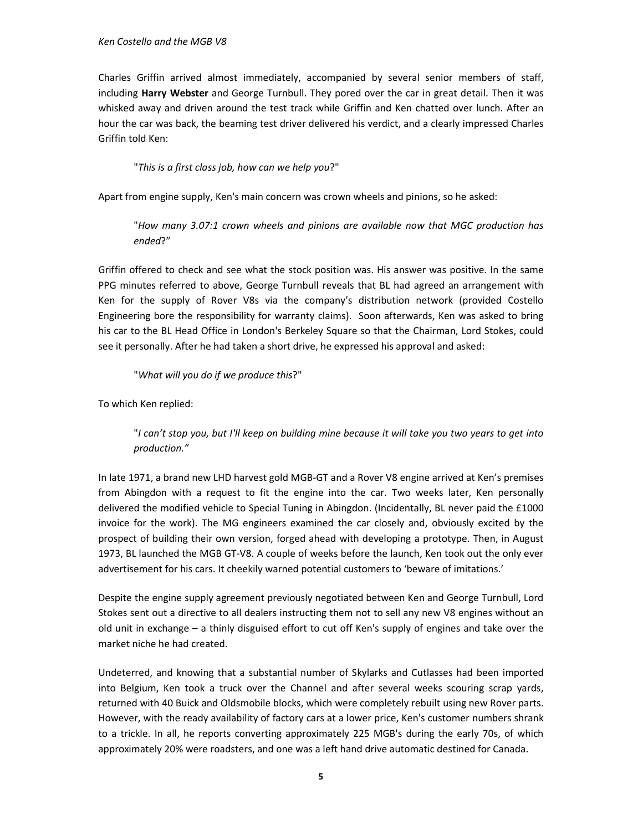Charles Griffin arrived almost immediately, accompanied by several senior members of staff, including Harry Webster and George Turnbull. They pored over the car in great detail. Then it was whisked away and driven around the test track while Griffin and Ken chatted over lunch. After an hour the car was back, the beaming test driver delivered his verdict, and a clearly impressed Charles Griffin told Ken:

"This is a first class job, how can we help you?"

Apart from engine supply, Ken's main concern was crown wheels and pinions, so he asked:

"How many 3.07:1 crown wheels and pinions are available now that MGC production has ended?"

Griffin offered to check and see what the stock position was. His answer was positive. In the same PPG minutes referred to above, George Turnbull reveals that BL had agreed an arrangement with Ken for the supply of Rover V8s via the company's distribution network (provided Costello Engineering bore the responsibility for warranty claims). Soon afterwards, Ken was asked to bring his car to the BL Head Office in London's Berkeley Square so that the Chairman, Lord Stokes, could see it personally. After he had taken a short drive, he expressed his approval and asked:

"What will you do if we produce this?"

To which Ken replied:

"I can't stop you, but I'll keep on building mine because it will take you two years to get into production."

In late 1971, a brand new LHD harvest gold MGB-GT and a Rover V8 engine arrived at Ken's premises from Abingdon with a request to fit the engine into the car. Two weeks later, Ken personally delivered the modified vehicle to Special Tuning in Abingdon. (Incidentally, BL never paid the £1000 invoice for the work). The MG engineers examined the car closely and, obviously excited by the prospect of building their own version, forged ahead with developing a prototype. Then, in August 1973, BL launched the MGB GT-V8. A couple of weeks before the launch, Ken took out the only ever advertisement for his cars. It cheekily warned potential customers to 'beware of imitations.'

Despite the engine supply agreement previously negotiated between Ken and George Turnbull, Lord Stokes sent out a directive to all dealers instructing them not to sell any new V8 engines without an old unit in exchange – a thinly disguised effort to cut off Ken's supply of engines and take over the market niche he had created.

Undeterred, and knowing that a substantial number of Skylarks and Cutlasses had been imported into Belgium, Ken took a truck over the Channel and after several weeks scouring scrap yards, returned with 40 Buick and Oldsmobile blocks, which were completely rebuilt using new Rover parts. However, with the ready availability of factory cars at a lower price, Ken's customer numbers shrank to a trickle. In all, he reports converting approximately 225 MGB's during the early 70s, of which approximately 20% were roadsters, and one was a left hand drive automatic destined for Canada.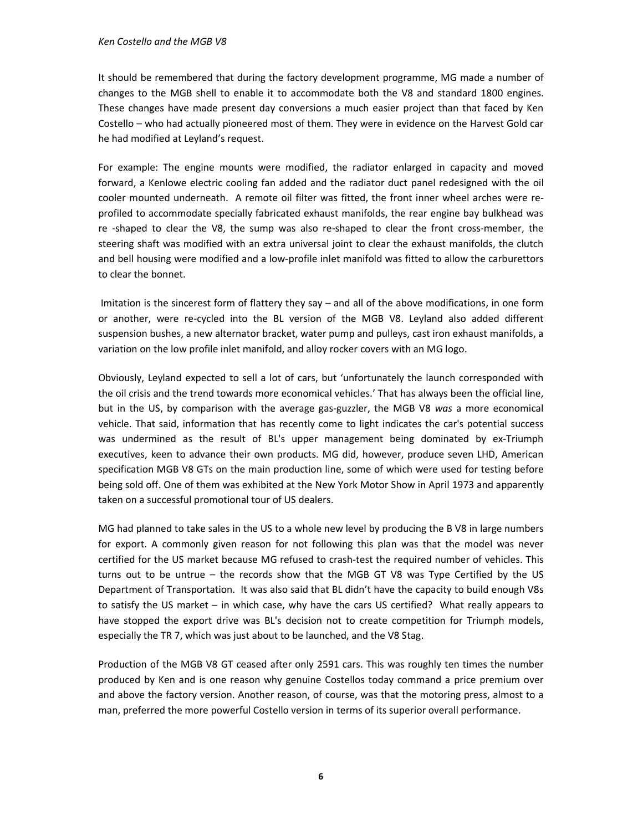It should be remembered that during the factory development programme, MG made a number of changes to the MGB shell to enable it to accommodate both the V8 and standard 1800 engines. These changes have made present day conversions a much easier project than that faced by Ken Costello – who had actually pioneered most of them. They were in evidence on the Harvest Gold car he had modified at Leyland's request.

For example: The engine mounts were modified, the radiator enlarged in capacity and moved forward, a Kenlowe electric cooling fan added and the radiator duct panel redesigned with the oil cooler mounted underneath. A remote oil filter was fitted, the front inner wheel arches were reprofiled to accommodate specially fabricated exhaust manifolds, the rear engine bay bulkhead was re -shaped to clear the V8, the sump was also re-shaped to clear the front cross-member, the steering shaft was modified with an extra universal joint to clear the exhaust manifolds, the clutch and bell housing were modified and a low-profile inlet manifold was fitted to allow the carburettors to clear the bonnet.

 Imitation is the sincerest form of flattery they say – and all of the above modifications, in one form or another, were re-cycled into the BL version of the MGB V8. Leyland also added different suspension bushes, a new alternator bracket, water pump and pulleys, cast iron exhaust manifolds, a variation on the low profile inlet manifold, and alloy rocker covers with an MG logo.

Obviously, Leyland expected to sell a lot of cars, but 'unfortunately the launch corresponded with the oil crisis and the trend towards more economical vehicles.' That has always been the official line, but in the US, by comparison with the average gas-guzzler, the MGB V8 was a more economical vehicle. That said, information that has recently come to light indicates the car's potential success was undermined as the result of BL's upper management being dominated by ex-Triumph executives, keen to advance their own products. MG did, however, produce seven LHD, American specification MGB V8 GTs on the main production line, some of which were used for testing before being sold off. One of them was exhibited at the New York Motor Show in April 1973 and apparently taken on a successful promotional tour of US dealers.

MG had planned to take sales in the US to a whole new level by producing the B V8 in large numbers for export. A commonly given reason for not following this plan was that the model was never certified for the US market because MG refused to crash-test the required number of vehicles. This turns out to be untrue – the records show that the MGB GT V8 was Type Certified by the US Department of Transportation. It was also said that BL didn't have the capacity to build enough V8s to satisfy the US market – in which case, why have the cars US certified? What really appears to have stopped the export drive was BL's decision not to create competition for Triumph models, especially the TR 7, which was just about to be launched, and the V8 Stag.

Production of the MGB V8 GT ceased after only 2591 cars. This was roughly ten times the number produced by Ken and is one reason why genuine Costellos today command a price premium over and above the factory version. Another reason, of course, was that the motoring press, almost to a man, preferred the more powerful Costello version in terms of its superior overall performance.